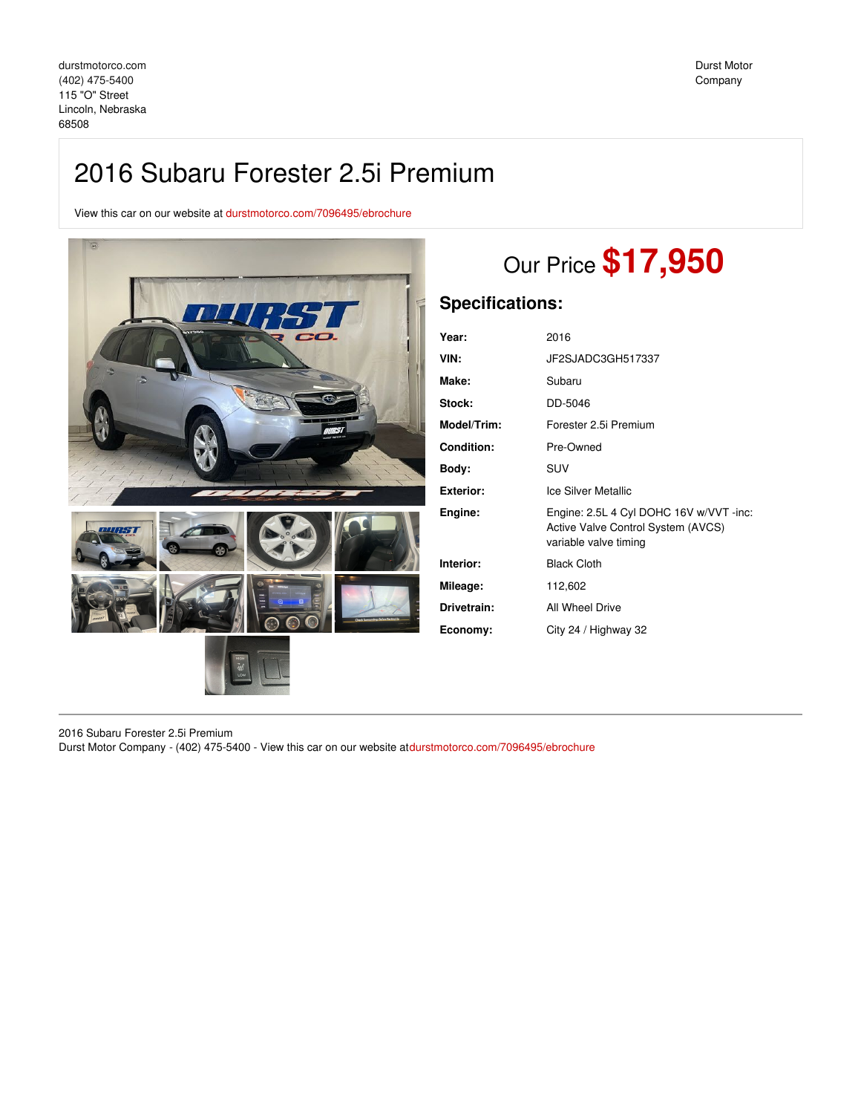## 2016 Subaru Forester 2.5i Premium

View this car on our website at [durstmotorco.com/7096495/ebrochure](https://durstmotorco.com/vehicle/7096495/2016-subaru-forester-2-5i-premium-lincoln-nebraska-68508/7096495/ebrochure)



# Our Price **\$17,950**

### **Specifications:**

| Year:              | 2016                                                                                                   |
|--------------------|--------------------------------------------------------------------------------------------------------|
| VIN:               | JF2SJADC3GH517337                                                                                      |
| Make:              | Subaru                                                                                                 |
| Stock:             | DD-5046                                                                                                |
| <b>Model/Trim:</b> | Forester 2.5i Premium                                                                                  |
| <b>Condition:</b>  | Pre-Owned                                                                                              |
| Body:              | <b>SUV</b>                                                                                             |
| Exterior:          | Ice Silver Metallic                                                                                    |
| Engine:            | Engine: 2.5L 4 Cyl DOHC 16V w/VVT -inc:<br>Active Valve Control System (AVCS)<br>variable valve timing |
| Interior:          | <b>Black Cloth</b>                                                                                     |
| Mileage:           | 112,602                                                                                                |
| Drivetrain:        | All Wheel Drive                                                                                        |
| Economy:           | City 24 / Highway 32                                                                                   |
|                    |                                                                                                        |

2016 Subaru Forester 2.5i Premium Durst Motor Company - (402) 475-5400 - View this car on our website at[durstmotorco.com/7096495/ebrochure](https://durstmotorco.com/vehicle/7096495/2016-subaru-forester-2-5i-premium-lincoln-nebraska-68508/7096495/ebrochure)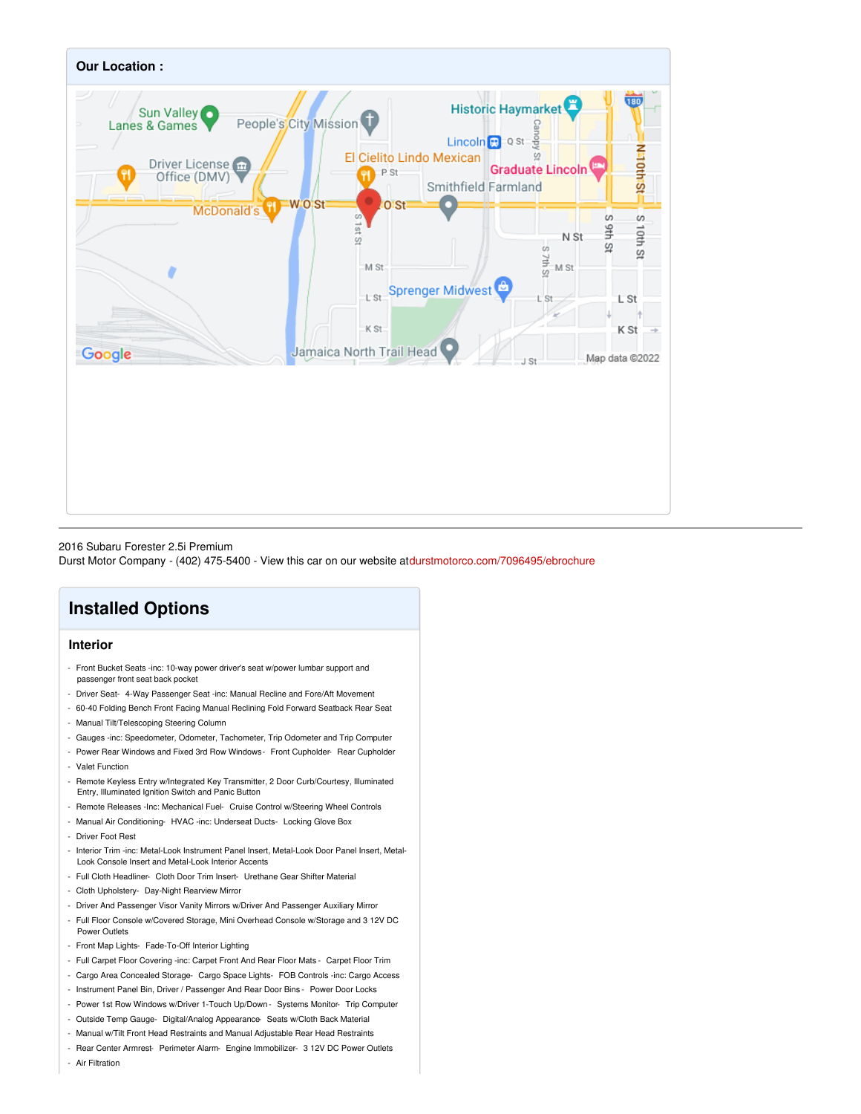

### 2016 Subaru Forester 2.5i Premium

Durst Motor Company - (402) 475-5400 - View this car on our website at[durstmotorco.com/7096495/ebrochure](https://durstmotorco.com/vehicle/7096495/2016-subaru-forester-2-5i-premium-lincoln-nebraska-68508/7096495/ebrochure)

### **Installed Options**

### **Interior**

- Front Bucket Seats -inc: 10-way power driver's seat w/power lumbar support and passenger front seat back pocket
- Driver Seat- 4-Way Passenger Seat -inc: Manual Recline and Fore/Aft Movement
- 60-40 Folding Bench Front Facing Manual Reclining Fold Forward Seatback Rear Seat
- Manual Tilt/Telescoping Steering Column
- Gauges -inc: Speedometer, Odometer, Tachometer, Trip Odometer and Trip Computer
- Power Rear Windows and Fixed 3rd Row Windows- Front Cupholder- Rear Cupholder
- Valet Function
- Remote Keyless Entry w/Integrated Key Transmitter, 2 Door Curb/Courtesy, Illuminated Entry, Illuminated Ignition Switch and Panic Button
- Remote Releases -Inc: Mechanical Fuel- Cruise Control w/Steering Wheel Controls
- Manual Air Conditioning- HVAC -inc: Underseat Ducts- Locking Glove Box
- Driver Foot Rest
- Interior Trim -inc: Metal-Look Instrument Panel Insert, Metal-Look Door Panel Insert, Metal-Look Console Insert and Metal-Look Interior Accents
- Full Cloth Headliner- Cloth Door Trim Insert- Urethane Gear Shifter Material
- Cloth Upholstery- Day-Night Rearview Mirror
- Driver And Passenger Visor Vanity Mirrors w/Driver And Passenger Auxiliary Mirror
- Full Floor Console w/Covered Storage, Mini Overhead Console w/Storage and 3 12V DC Power Outlets
- Front Map Lights- Fade-To-Off Interior Lighting
- Full Carpet Floor Covering -inc: Carpet Front And Rear Floor Mats Carpet Floor Trim
- Cargo Area Concealed Storage- Cargo Space Lights- FOB Controls -inc: Cargo Access
- Instrument Panel Bin, Driver / Passenger And Rear Door Bins Power Door Locks
- Power 1st Row Windows w/Driver 1-Touch Up/Down Systems Monitor- Trip Computer
- Outside Temp Gauge- Digital/Analog Appearance- Seats w/Cloth Back Material
- Manual w/Tilt Front Head Restraints and Manual Adjustable Rear Head Restraints
- Rear Center Armrest- Perimeter Alarm- Engine Immobilizer- 3 12V DC Power Outlets

- Air Filtration